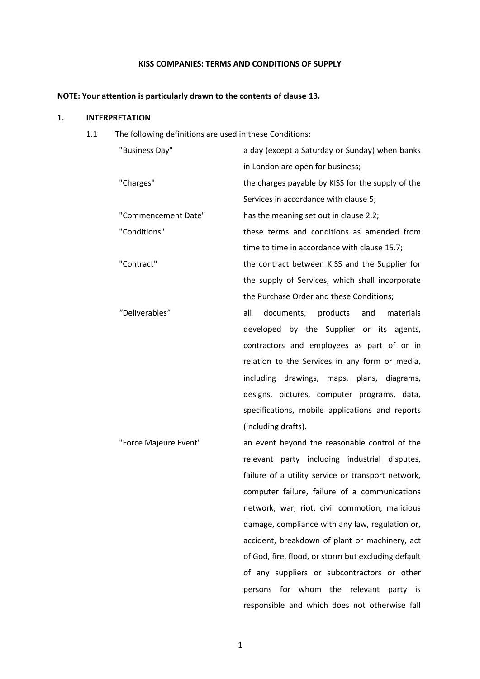# **KISS COMPANIES: TERMS AND CONDITIONS OF SUPPLY**

# **NOTE: Your attention is particularly drawn to the contents of clause 13.**

# **1. INTERPRETATION**

1.1 The following definitions are used in these Conditions:

| "Business Day"        | a day (except a Saturday or Sunday) when banks      |
|-----------------------|-----------------------------------------------------|
|                       | in London are open for business;                    |
| "Charges"             | the charges payable by KISS for the supply of the   |
|                       | Services in accordance with clause 5;               |
| "Commencement Date"   | has the meaning set out in clause 2.2;              |
| "Conditions"          | these terms and conditions as amended from          |
|                       | time to time in accordance with clause 15.7;        |
| "Contract"            | the contract between KISS and the Supplier for      |
|                       | the supply of Services, which shall incorporate     |
|                       | the Purchase Order and these Conditions;            |
| "Deliverables"        | documents, products<br>all<br>and<br>materials      |
|                       | developed by the Supplier or its agents,            |
|                       | contractors and employees as part of or in          |
|                       | relation to the Services in any form or media,      |
|                       | including drawings, maps, plans, diagrams,          |
|                       | designs, pictures, computer programs, data,         |
|                       | specifications, mobile applications and reports     |
|                       | (including drafts).                                 |
| "Force Majeure Event" | an event beyond the reasonable control of the       |
|                       | relevant party including industrial disputes,       |
|                       | failure of a utility service or transport network,  |
|                       | computer failure, failure of a communications       |
|                       | network, war, riot, civil commotion, malicious      |
|                       | damage, compliance with any law, regulation or,     |
|                       | accident, breakdown of plant or machinery, act      |
|                       | of God, fire, flood, or storm but excluding default |
|                       | of any suppliers or subcontractors or other         |
|                       | persons for whom the relevant<br>party is           |
|                       | responsible and which does not otherwise fall       |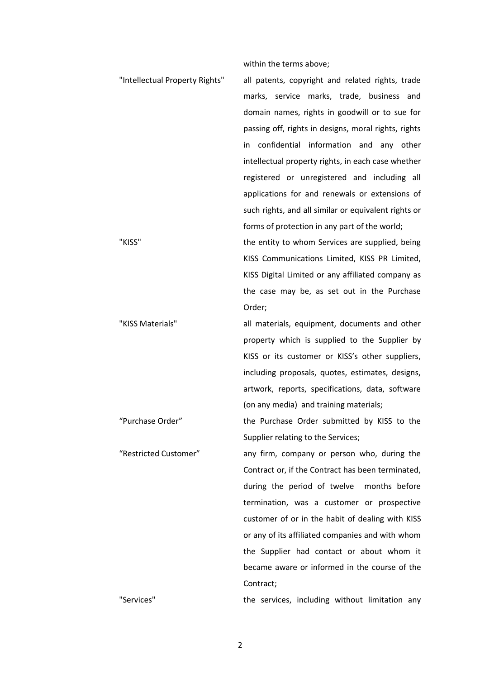within the terms above;

"Intellectual Property Rights" all patents, copyright and related rights, trade marks, service marks, trade, business and domain names, rights in goodwill or to sue for passing off, rights in designs, moral rights, rights in confidential information and any other intellectual property rights, in each case whether registered or unregistered and including all applications for and renewals or extensions of such rights, and all similar or equivalent rights or forms of protection in any part of the world; "KISS" the entity to whom Services are supplied, being KISS Communications Limited, KISS PR Limited, KISS Digital Limited or any affiliated company as the case may be, as set out in the Purchase Order; "KISS Materials" all materials, equipment, documents and other property which is supplied to the Supplier by KISS or its customer or KISS's other suppliers, including proposals, quotes, estimates, designs, artwork, reports, specifications, data, software (on any media) and training materials; "Purchase Order" the Purchase Order submitted by KISS to the Supplier relating to the Services; "Restricted Customer" any firm, company or person who, during the Contract or, if the Contract has been terminated, during the period of twelve months before termination, was a customer or prospective customer of or in the habit of dealing with KISS or any of its affiliated companies and with whom the Supplier had contact or about whom it became aware or informed in the course of the Contract; "Services" the services, including without limitation any

2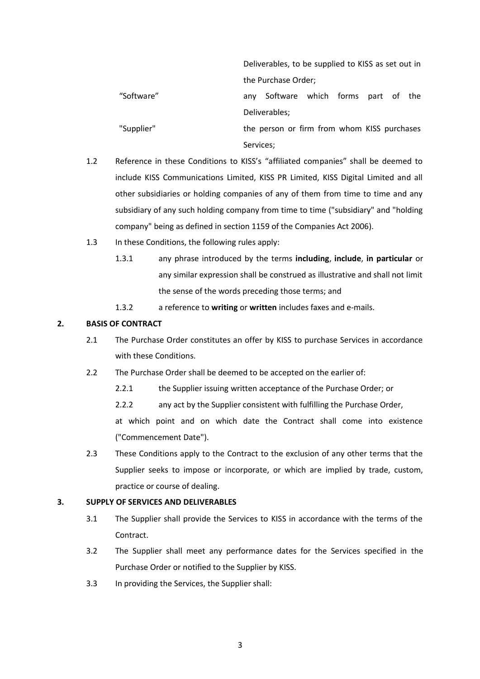|            | Deliverables, to be supplied to KISS as set out in |
|------------|----------------------------------------------------|
|            | the Purchase Order;                                |
| "Software" | Software which forms part of the<br>anv            |
|            | Deliverables;                                      |
| "Supplier" | the person or firm from whom KISS purchases        |
|            | Services:                                          |

- 1.2 Reference in these Conditions to KISS's "affiliated companies" shall be deemed to include KISS Communications Limited, KISS PR Limited, KISS Digital Limited and all other subsidiaries or holding companies of any of them from time to time and any subsidiary of any such holding company from time to time ("subsidiary" and "holding company" being as defined in section 1159 of the Companies Act 2006).
- 1.3 In these Conditions, the following rules apply:
	- 1.3.1 any phrase introduced by the terms **including**, **include**, **in particular** or any similar expression shall be construed as illustrative and shall not limit the sense of the words preceding those terms; and
	- 1.3.2 a reference to **writing** or **written** includes faxes and e-mails.

# **2. BASIS OF CONTRACT**

- 2.1 The Purchase Order constitutes an offer by KISS to purchase Services in accordance with these Conditions.
- 2.2 The Purchase Order shall be deemed to be accepted on the earlier of:
	- 2.2.1 the Supplier issuing written acceptance of the Purchase Order; or
	- 2.2.2 any act by the Supplier consistent with fulfilling the Purchase Order,

at which point and on which date the Contract shall come into existence ("Commencement Date").

2.3 These Conditions apply to the Contract to the exclusion of any other terms that the Supplier seeks to impose or incorporate, or which are implied by trade, custom, practice or course of dealing.

# **3. SUPPLY OF SERVICES AND DELIVERABLES**

- 3.1 The Supplier shall provide the Services to KISS in accordance with the terms of the Contract.
- 3.2 The Supplier shall meet any performance dates for the Services specified in the Purchase Order or notified to the Supplier by KISS.
- 3.3 In providing the Services, the Supplier shall: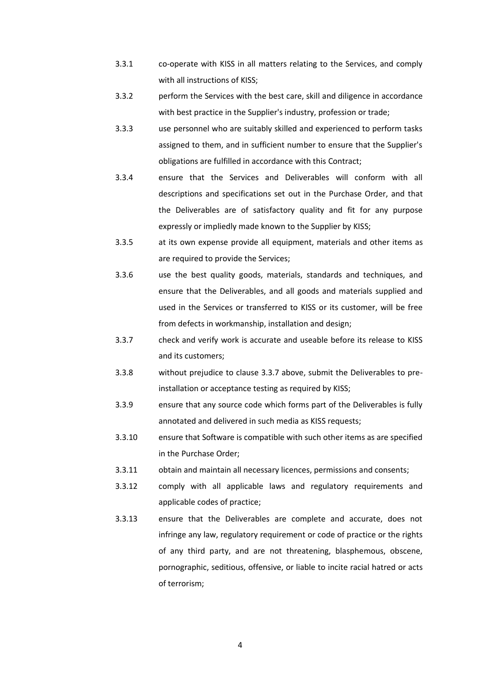- 3.3.1 co-operate with KISS in all matters relating to the Services, and comply with all instructions of KISS;
- 3.3.2 perform the Services with the best care, skill and diligence in accordance with best practice in the Supplier's industry, profession or trade;
- 3.3.3 use personnel who are suitably skilled and experienced to perform tasks assigned to them, and in sufficient number to ensure that the Supplier's obligations are fulfilled in accordance with this Contract;
- 3.3.4 ensure that the Services and Deliverables will conform with all descriptions and specifications set out in the Purchase Order, and that the Deliverables are of satisfactory quality and fit for any purpose expressly or impliedly made known to the Supplier by KISS;
- 3.3.5 at its own expense provide all equipment, materials and other items as are required to provide the Services;
- 3.3.6 use the best quality goods, materials, standards and techniques, and ensure that the Deliverables, and all goods and materials supplied and used in the Services or transferred to KISS or its customer, will be free from defects in workmanship, installation and design;
- 3.3.7 check and verify work is accurate and useable before its release to KISS and its customers;
- 3.3.8 without prejudice to clause 3.3.7 above, submit the Deliverables to preinstallation or acceptance testing as required by KISS;
- 3.3.9 ensure that any source code which forms part of the Deliverables is fully annotated and delivered in such media as KISS requests;
- 3.3.10 ensure that Software is compatible with such other items as are specified in the Purchase Order;
- 3.3.11 obtain and maintain all necessary licences, permissions and consents;
- 3.3.12 comply with all applicable laws and regulatory requirements and applicable codes of practice;
- 3.3.13 ensure that the Deliverables are complete and accurate, does not infringe any law, regulatory requirement or code of practice or the rights of any third party, and are not threatening, blasphemous, obscene, pornographic, seditious, offensive, or liable to incite racial hatred or acts of terrorism;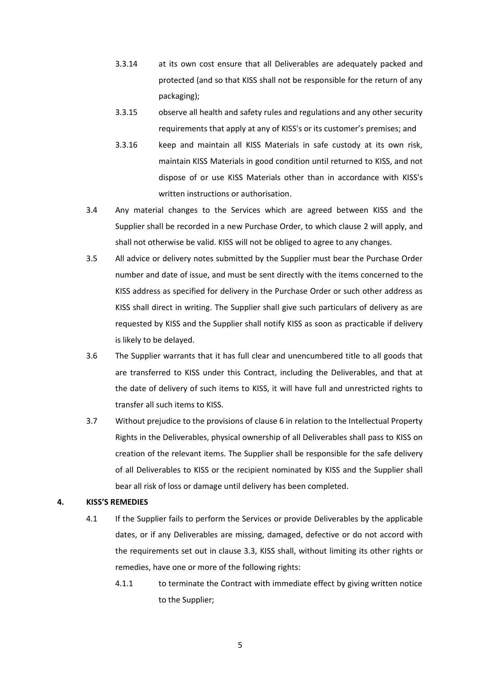- 3.3.14 at its own cost ensure that all Deliverables are adequately packed and protected (and so that KISS shall not be responsible for the return of any packaging);
- 3.3.15 observe all health and safety rules and regulations and any other security requirements that apply at any of KISS's or its customer's premises; and
- 3.3.16 keep and maintain all KISS Materials in safe custody at its own risk, maintain KISS Materials in good condition until returned to KISS, and not dispose of or use KISS Materials other than in accordance with KISS's written instructions or authorisation.
- 3.4 Any material changes to the Services which are agreed between KISS and the Supplier shall be recorded in a new Purchase Order, to which clause 2 will apply, and shall not otherwise be valid. KISS will not be obliged to agree to any changes.
- 3.5 All advice or delivery notes submitted by the Supplier must bear the Purchase Order number and date of issue, and must be sent directly with the items concerned to the KISS address as specified for delivery in the Purchase Order or such other address as KISS shall direct in writing. The Supplier shall give such particulars of delivery as are requested by KISS and the Supplier shall notify KISS as soon as practicable if delivery is likely to be delayed.
- 3.6 The Supplier warrants that it has full clear and unencumbered title to all goods that are transferred to KISS under this Contract, including the Deliverables, and that at the date of delivery of such items to KISS, it will have full and unrestricted rights to transfer all such items to KISS.
- 3.7 Without prejudice to the provisions of clause 6 in relation to the Intellectual Property Rights in the Deliverables, physical ownership of all Deliverables shall pass to KISS on creation of the relevant items. The Supplier shall be responsible for the safe delivery of all Deliverables to KISS or the recipient nominated by KISS and the Supplier shall bear all risk of loss or damage until delivery has been completed.

#### **4. KISS'S REMEDIES**

- 4.1 If the Supplier fails to perform the Services or provide Deliverables by the applicable dates, or if any Deliverables are missing, damaged, defective or do not accord with the requirements set out in clause 3.3, KISS shall, without limiting its other rights or remedies, have one or more of the following rights:
	- 4.1.1 to terminate the Contract with immediate effect by giving written notice to the Supplier;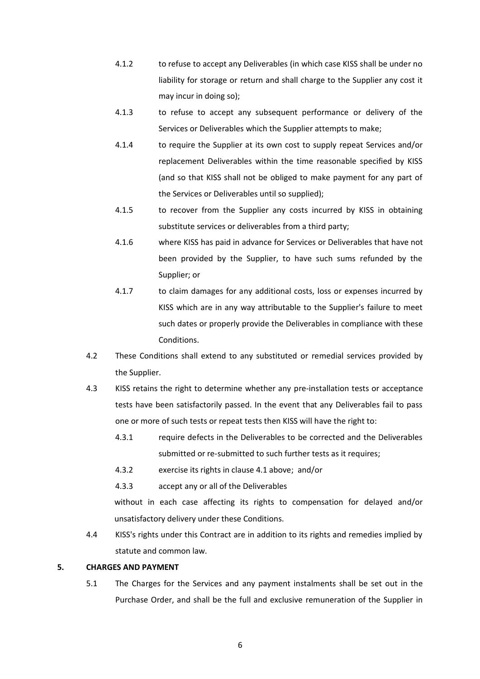- 4.1.2 to refuse to accept any Deliverables (in which case KISS shall be under no liability for storage or return and shall charge to the Supplier any cost it may incur in doing so);
- 4.1.3 to refuse to accept any subsequent performance or delivery of the Services or Deliverables which the Supplier attempts to make;
- 4.1.4 to require the Supplier at its own cost to supply repeat Services and/or replacement Deliverables within the time reasonable specified by KISS (and so that KISS shall not be obliged to make payment for any part of the Services or Deliverables until so supplied);
- 4.1.5 to recover from the Supplier any costs incurred by KISS in obtaining substitute services or deliverables from a third party;
- 4.1.6 where KISS has paid in advance for Services or Deliverables that have not been provided by the Supplier, to have such sums refunded by the Supplier; or
- 4.1.7 to claim damages for any additional costs, loss or expenses incurred by KISS which are in any way attributable to the Supplier's failure to meet such dates or properly provide the Deliverables in compliance with these Conditions.
- 4.2 These Conditions shall extend to any substituted or remedial services provided by the Supplier.
- 4.3 KISS retains the right to determine whether any pre-installation tests or acceptance tests have been satisfactorily passed. In the event that any Deliverables fail to pass one or more of such tests or repeat tests then KISS will have the right to:
	- 4.3.1 require defects in the Deliverables to be corrected and the Deliverables submitted or re-submitted to such further tests as it requires;
	- 4.3.2 exercise its rights in clause 4.1 above; and/or
	- 4.3.3 accept any or all of the Deliverables

without in each case affecting its rights to compensation for delayed and/or unsatisfactory delivery under these Conditions.

4.4 KISS's rights under this Contract are in addition to its rights and remedies implied by statute and common law.

# <span id="page-5-0"></span>**5. CHARGES AND PAYMENT**

5.1 The Charges for the Services and any payment instalments shall be set out in the Purchase Order, and shall be the full and exclusive remuneration of the Supplier in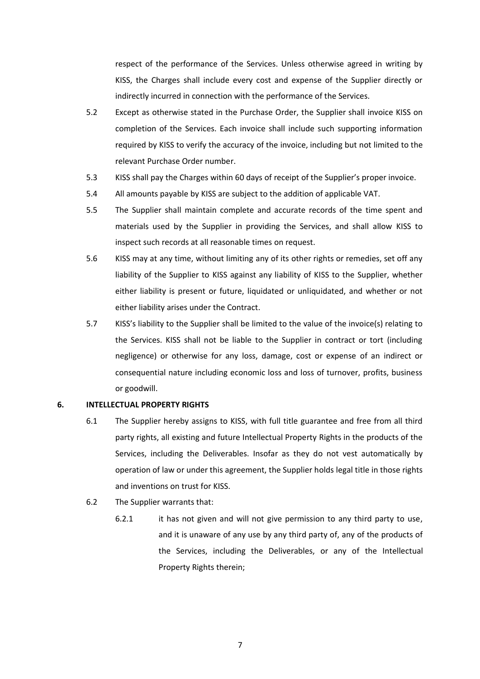respect of the performance of the Services. Unless otherwise agreed in writing by KISS, the Charges shall include every cost and expense of the Supplier directly or indirectly incurred in connection with the performance of the Services.

- 5.2 Except as otherwise stated in the Purchase Order, the Supplier shall invoice KISS on completion of the Services. Each invoice shall include such supporting information required by KISS to verify the accuracy of the invoice, including but not limited to the relevant Purchase Order number.
- 5.3 KISS shall pay the Charges within 60 days of receipt of the Supplier's proper invoice.
- 5.4 All amounts payable by KISS are subject to the addition of applicable VAT.
- 5.5 The Supplier shall maintain complete and accurate records of the time spent and materials used by the Supplier in providing the Services, and shall allow KISS to inspect such records at all reasonable times on request.
- 5.6 KISS may at any time, without limiting any of its other rights or remedies, set off any liability of the Supplier to KISS against any liability of KISS to the Supplier, whether either liability is present or future, liquidated or unliquidated, and whether or not either liability arises under the Contract.
- 5.7 KISS's liability to the Supplier shall be limited to the value of the invoice(s) relating to the Services. KISS shall not be liable to the Supplier in contract or tort (including negligence) or otherwise for any loss, damage, cost or expense of an indirect or consequential nature including economic loss and loss of turnover, profits, business or goodwill.

#### <span id="page-6-0"></span>**6. INTELLECTUAL PROPERTY RIGHTS**

- 6.1 The Supplier hereby assigns to KISS, with full title guarantee and free from all third party rights, all existing and future Intellectual Property Rights in the products of the Services, including the Deliverables. Insofar as they do not vest automatically by operation of law or under this agreement, the Supplier holds legal title in those rights and inventions on trust for KISS.
- 6.2 The Supplier warrants that:
	- 6.2.1 it has not given and will not give permission to any third party to use, and it is unaware of any use by any third party of, any of the products of the Services, including the Deliverables, or any of the Intellectual Property Rights therein;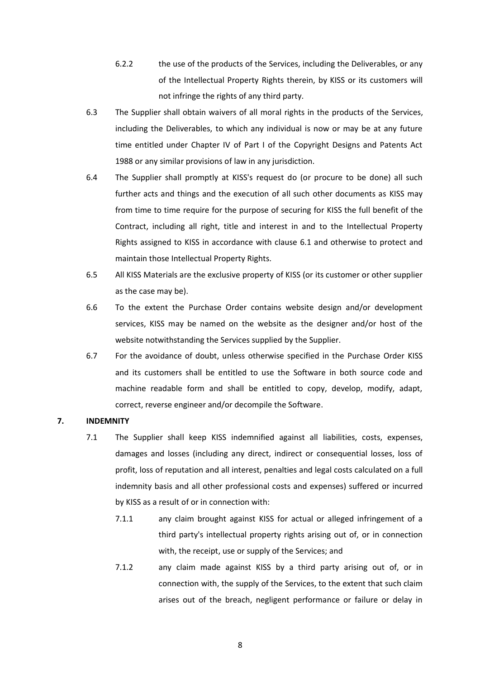- 6.2.2 the use of the products of the Services, including the Deliverables, or any of the Intellectual Property Rights therein, by KISS or its customers will not infringe the rights of any third party.
- 6.3 The Supplier shall obtain waivers of all moral rights in the products of the Services, including the Deliverables, to which any individual is now or may be at any future time entitled under Chapter IV of Part I of the Copyright Designs and Patents Act 1988 or any similar provisions of law in any jurisdiction.
- 6.4 The Supplier shall promptly at KISS's request do (or procure to be done) all such further acts and things and the execution of all such other documents as KISS may from time to time require for the purpose of securing for KISS the full benefit of the Contract, including all right, title and interest in and to the Intellectual Property Rights assigned to KISS in accordance with clause [6.1](#page-6-0) and otherwise to protect and maintain those Intellectual Property Rights.
- 6.5 All KISS Materials are the exclusive property of KISS (or its customer or other supplier as the case may be).
- 6.6 To the extent the Purchase Order contains website design and/or development services, KISS may be named on the website as the designer and/or host of the website notwithstanding the Services supplied by the Supplier.
- 6.7 For the avoidance of doubt, unless otherwise specified in the Purchase Order KISS and its customers shall be entitled to use the Software in both source code and machine readable form and shall be entitled to copy, develop, modify, adapt, correct, reverse engineer and/or decompile the Software.

#### <span id="page-7-0"></span>**7. INDEMNITY**

- 7.1 The Supplier shall keep KISS indemnified against all liabilities, costs, expenses, damages and losses (including any direct, indirect or consequential losses, loss of profit, loss of reputation and all interest, penalties and legal costs calculated on a full indemnity basis and all other professional costs and expenses) suffered or incurred by KISS as a result of or in connection with:
	- 7.1.1 any claim brought against KISS for actual or alleged infringement of a third party's intellectual property rights arising out of, or in connection with, the receipt, use or supply of the Services; and
	- 7.1.2 any claim made against KISS by a third party arising out of, or in connection with, the supply of the Services, to the extent that such claim arises out of the breach, negligent performance or failure or delay in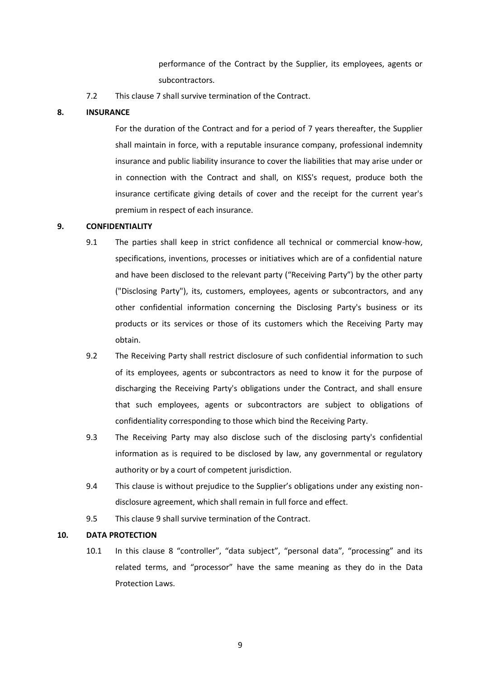performance of the Contract by the Supplier, its employees, agents or subcontractors.

7.2 This clause [7](#page-7-0) shall survive termination of the Contract.

#### **8. INSURANCE**

For the duration of the Contract and for a period of 7 years thereafter, the Supplier shall maintain in force, with a reputable insurance company, professional indemnity insurance and public liability insurance to cover the liabilities that may arise under or in connection with the Contract and shall, on KISS's request, produce both the insurance certificate giving details of cover and the receipt for the current year's premium in respect of each insurance.

#### <span id="page-8-0"></span>**9. CONFIDENTIALITY**

- 9.1 The parties shall keep in strict confidence all technical or commercial know-how, specifications, inventions, processes or initiatives which are of a confidential nature and have been disclosed to the relevant party ("Receiving Party") by the other party ("Disclosing Party"), its, customers, employees, agents or subcontractors, and any other confidential information concerning the Disclosing Party's business or its products or its services or those of its customers which the Receiving Party may obtain.
- 9.2 The Receiving Party shall restrict disclosure of such confidential information to such of its employees, agents or subcontractors as need to know it for the purpose of discharging the Receiving Party's obligations under the Contract, and shall ensure that such employees, agents or subcontractors are subject to obligations of confidentiality corresponding to those which bind the Receiving Party.
- 9.3 The Receiving Party may also disclose such of the disclosing party's confidential information as is required to be disclosed by law, any governmental or regulatory authority or by a court of competent jurisdiction.
- 9.4 This clause is without prejudice to the Supplier's obligations under any existing nondisclosure agreement, which shall remain in full force and effect.
- 9.5 This clause [9](#page-8-0) shall survive termination of the Contract.

# <span id="page-8-1"></span>**10. DATA PROTECTION**

10.1 In this clause 8 "controller", "data subject", "personal data", "processing" and its related terms, and "processor" have the same meaning as they do in the Data Protection Laws.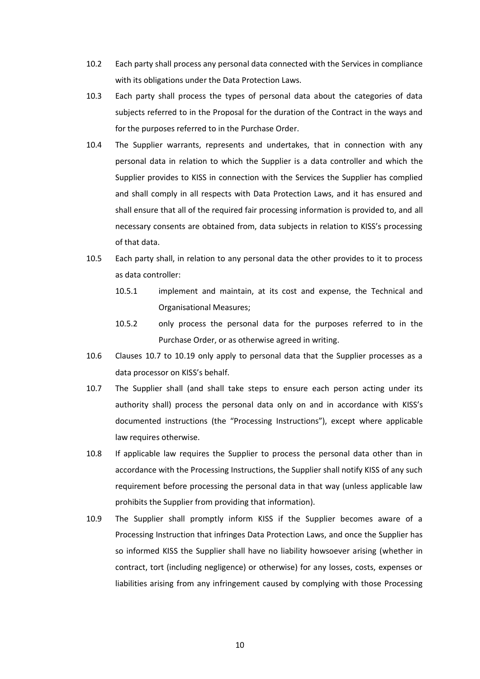- 10.2 Each party shall process any personal data connected with the Services in compliance with its obligations under the Data Protection Laws.
- 10.3 Each party shall process the types of personal data about the categories of data subjects referred to in the Proposal for the duration of the Contract in the ways and for the purposes referred to in the Purchase Order.
- 10.4 The Supplier warrants, represents and undertakes, that in connection with any personal data in relation to which the Supplier is a data controller and which the Supplier provides to KISS in connection with the Services the Supplier has complied and shall comply in all respects with Data Protection Laws, and it has ensured and shall ensure that all of the required fair processing information is provided to, and all necessary consents are obtained from, data subjects in relation to KISS's processing of that data.
- 10.5 Each party shall, in relation to any personal data the other provides to it to process as data controller:
	- 10.5.1 implement and maintain, at its cost and expense, the Technical and Organisational Measures;
	- 10.5.2 only process the personal data for the purposes referred to in the Purchase Order, or as otherwise agreed in writing.
- 10.6 Clauses [10.7](#page-9-0) to [10.19](#page-11-0) only apply to personal data that the Supplier processes as a data processor on KISS's behalf.
- <span id="page-9-0"></span>10.7 The Supplier shall (and shall take steps to ensure each person acting under its authority shall) process the personal data only on and in accordance with KISS's documented instructions (the "Processing Instructions"), except where applicable law requires otherwise.
- 10.8 If applicable law requires the Supplier to process the personal data other than in accordance with the Processing Instructions, the Supplier shall notify KISS of any such requirement before processing the personal data in that way (unless applicable law prohibits the Supplier from providing that information).
- 10.9 The Supplier shall promptly inform KISS if the Supplier becomes aware of a Processing Instruction that infringes Data Protection Laws, and once the Supplier has so informed KISS the Supplier shall have no liability howsoever arising (whether in contract, tort (including negligence) or otherwise) for any losses, costs, expenses or liabilities arising from any infringement caused by complying with those Processing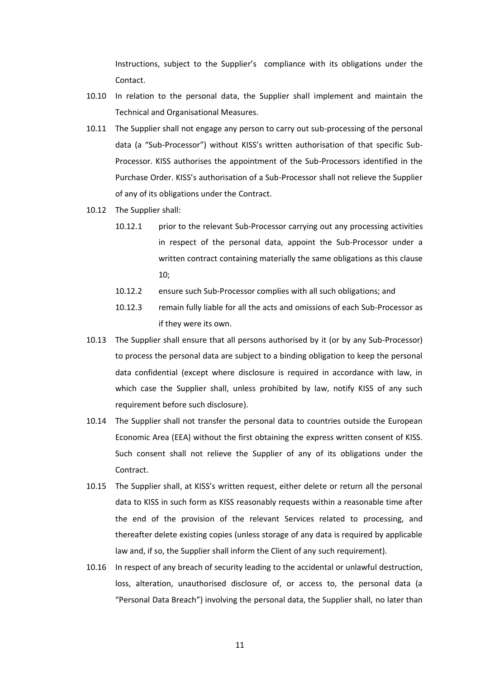Instructions, subject to the Supplier's compliance with its obligations under the Contact.

- 10.10 In relation to the personal data, the Supplier shall implement and maintain the Technical and Organisational Measures.
- 10.11 The Supplier shall not engage any person to carry out sub-processing of the personal data (a "Sub-Processor") without KISS's written authorisation of that specific Sub-Processor. KISS authorises the appointment of the Sub-Processors identified in the Purchase Order. KISS's authorisation of a Sub-Processor shall not relieve the Supplier of any of its obligations under the Contract.
- 10.12 The Supplier shall:
	- 10.12.1 prior to the relevant Sub-Processor carrying out any processing activities in respect of the personal data, appoint the Sub-Processor under a written contract containing materially the same obligations as this clause 10;
	- 10.12.2 ensure such Sub-Processor complies with all such obligations; and
	- 10.12.3 remain fully liable for all the acts and omissions of each Sub-Processor as if they were its own.
- 10.13 The Supplier shall ensure that all persons authorised by it (or by any Sub-Processor) to process the personal data are subject to a binding obligation to keep the personal data confidential (except where disclosure is required in accordance with law, in which case the Supplier shall, unless prohibited by law, notify KISS of any such requirement before such disclosure).
- 10.14 The Supplier shall not transfer the personal data to countries outside the European Economic Area (EEA) without the first obtaining the express written consent of KISS. Such consent shall not relieve the Supplier of any of its obligations under the Contract.
- 10.15 The Supplier shall, at KISS's written request, either delete or return all the personal data to KISS in such form as KISS reasonably requests within a reasonable time after the end of the provision of the relevant Services related to processing, and thereafter delete existing copies (unless storage of any data is required by applicable law and, if so, the Supplier shall inform the Client of any such requirement).
- 10.16 In respect of any breach of security leading to the accidental or unlawful destruction, loss, alteration, unauthorised disclosure of, or access to, the personal data (a "Personal Data Breach") involving the personal data, the Supplier shall, no later than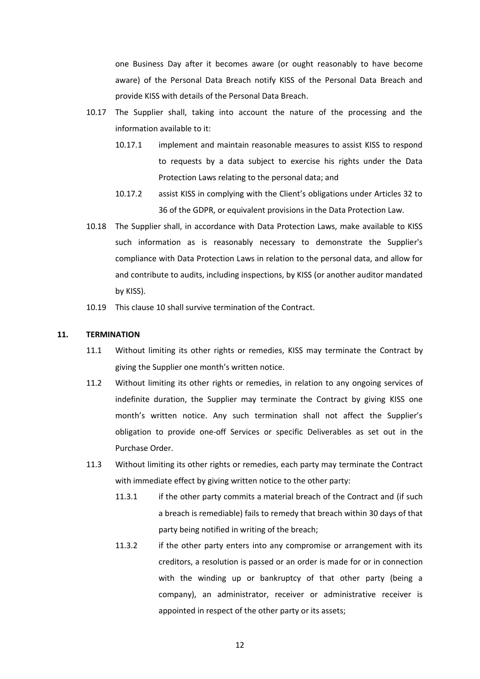one Business Day after it becomes aware (or ought reasonably to have become aware) of the Personal Data Breach notify KISS of the Personal Data Breach and provide KISS with details of the Personal Data Breach.

- 10.17 The Supplier shall, taking into account the nature of the processing and the information available to it:
	- 10.17.1 implement and maintain reasonable measures to assist KISS to respond to requests by a data subject to exercise his rights under the Data Protection Laws relating to the personal data; and
	- 10.17.2 assist KISS in complying with the Client's obligations under Articles 32 to 36 of the GDPR, or equivalent provisions in the Data Protection Law.
- 10.18 The Supplier shall, in accordance with Data Protection Laws, make available to KISS such information as is reasonably necessary to demonstrate the Supplier's compliance with Data Protection Laws in relation to the personal data, and allow for and contribute to audits, including inspections, by KISS (or another auditor mandated by KISS).
- 10.19 This clause [10](#page-8-1) shall survive termination of the Contract.

#### <span id="page-11-0"></span>**11. TERMINATION**

- 11.1 Without limiting its other rights or remedies, KISS may terminate the Contract by giving the Supplier one month's written notice.
- 11.2 Without limiting its other rights or remedies, in relation to any ongoing services of indefinite duration, the Supplier may terminate the Contract by giving KISS one month's written notice. Any such termination shall not affect the Supplier's obligation to provide one-off Services or specific Deliverables as set out in the Purchase Order.
- 11.3 Without limiting its other rights or remedies, each party may terminate the Contract with immediate effect by giving written notice to the other party:
	- 11.3.1 if the other party commits a material breach of the Contract and (if such a breach is remediable) fails to remedy that breach within 30 days of that party being notified in writing of the breach;
	- 11.3.2 if the other party enters into any compromise or arrangement with its creditors, a resolution is passed or an order is made for or in connection with the winding up or bankruptcy of that other party (being a company), an administrator, receiver or administrative receiver is appointed in respect of the other party or its assets;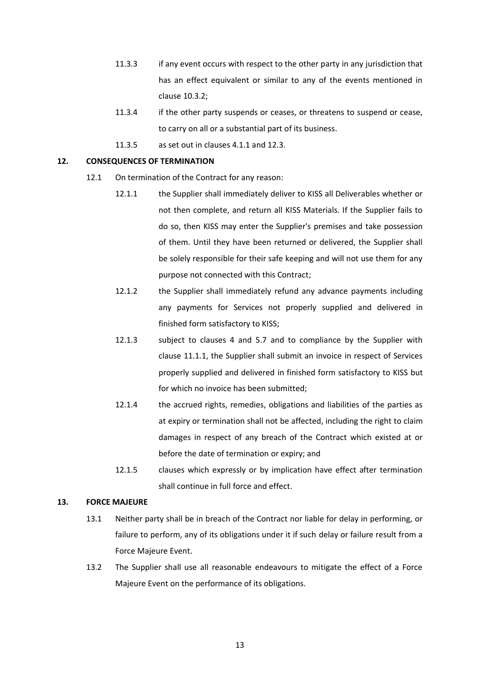- 11.3.3 if any event occurs with respect to the other party in any jurisdiction that has an effect equivalent or similar to any of the events mentioned in clause 10.3.2;
- 11.3.4 if the other party suspends or ceases, or threatens to suspend or cease, to carry on all or a substantial part of its business.
- 11.3.5 as set out in clauses 4.1.1 and 12.3.

#### **12. CONSEQUENCES OF TERMINATION**

- 12.1 On termination of the Contract for any reason:
	- 12.1.1 the Supplier shall immediately deliver to KISS all Deliverables whether or not then complete, and return all KISS Materials. If the Supplier fails to do so, then KISS may enter the Supplier's premises and take possession of them. Until they have been returned or delivered, the Supplier shall be solely responsible for their safe keeping and will not use them for any purpose not connected with this Contract;
	- 12.1.2 the Supplier shall immediately refund any advance payments including any payments for Services not properly supplied and delivered in finished form satisfactory to KISS;
	- 12.1.3 subject to clauses 4 and 5.7 and to compliance by the Supplier with clause 11.1.1, the Supplier shall submit an invoice in respect of Services properly supplied and delivered in finished form satisfactory to KISS but for which no invoice has been submitted;
	- 12.1.4 the accrued rights, remedies, obligations and liabilities of the parties as at expiry or termination shall not be affected, including the right to claim damages in respect of any breach of the Contract which existed at or before the date of termination or expiry; and
	- 12.1.5 clauses which expressly or by implication have effect after termination shall continue in full force and effect.

#### **13. FORCE MAJEURE**

- 13.1 Neither party shall be in breach of the Contract nor liable for delay in performing, or failure to perform, any of its obligations under it if such delay or failure result from a Force Majeure Event.
- 13.2 The Supplier shall use all reasonable endeavours to mitigate the effect of a Force Majeure Event on the performance of its obligations.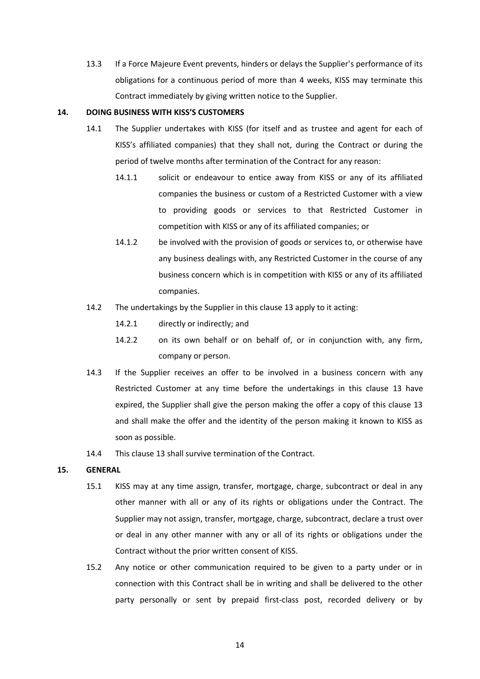13.3 If a Force Majeure Event prevents, hinders or delays the Supplier's performance of its obligations for a continuous period of more than 4 weeks, KISS may terminate this Contract immediately by giving written notice to the Supplier.

# **14. DOING BUSINESS WITH KISS'S CUSTOMERS**

- 14.1 The Supplier undertakes with KISS (for itself and as trustee and agent for each of KISS's affiliated companies) that they shall not, during the Contract or during the period of twelve months after termination of the Contract for any reason:
	- 14.1.1 solicit or endeavour to entice away from KISS or any of its affiliated companies the business or custom of a Restricted Customer with a view to providing goods or services to that Restricted Customer in competition with KISS or any of its affiliated companies; or
	- 14.1.2 be involved with the provision of goods or services to, or otherwise have any business dealings with, any Restricted Customer in the course of any business concern which is in competition with KISS or any of its affiliated companies.
- 14.2 The undertakings by the Supplier in this clause 13 apply to it acting:
	- 14.2.1 directly or indirectly; and
	- 14.2.2 on its own behalf or on behalf of, or in conjunction with, any firm, company or person.
- 14.3 If the Supplier receives an offer to be involved in a business concern with any Restricted Customer at any time before the undertakings in this clause 13 have expired, the Supplier shall give the person making the offer a copy of this clause 13 and shall make the offer and the identity of the person making it known to KISS as soon as possible.
- 14.4 This clause 13 shall survive termination of the Contract.

# **15. GENERAL**

- 15.1 KISS may at any time assign, transfer, mortgage, charge, subcontract or deal in any other manner with all or any of its rights or obligations under the Contract. The Supplier may not assign, transfer, mortgage, charge, subcontract, declare a trust over or deal in any other manner with any or all of its rights or obligations under the Contract without the prior written consent of KISS.
- 15.2 Any notice or other communication required to be given to a party under or in connection with this Contract shall be in writing and shall be delivered to the other party personally or sent by prepaid first-class post, recorded delivery or by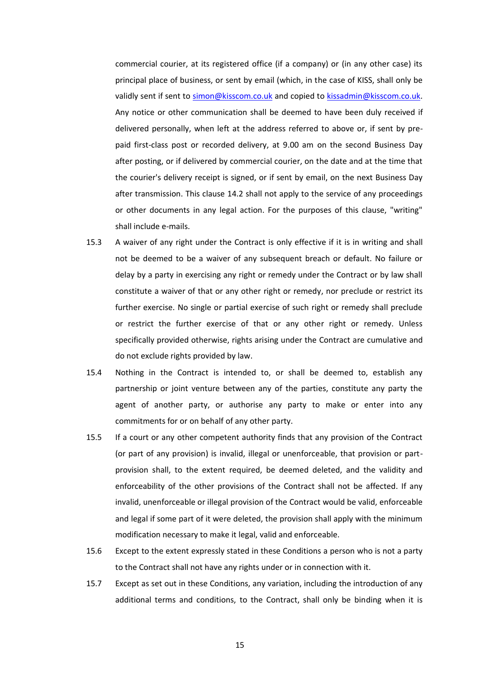commercial courier, at its registered office (if a company) or (in any other case) its principal place of business, or sent by email (which, in the case of KISS, shall only be validly sent if sent to [simon@kisscom.co.uk](mailto:simon@kisscom.co.uk) and copied to [kissadmin@kisscom.co.uk.](mailto:kissadmin@kisscom.co.uk) Any notice or other communication shall be deemed to have been duly received if delivered personally, when left at the address referred to above or, if sent by prepaid first-class post or recorded delivery, at 9.00 am on the second Business Day after posting, or if delivered by commercial courier, on the date and at the time that the courier's delivery receipt is signed, or if sent by email, on the next Business Day after transmission. This clause 14.2 shall not apply to the service of any proceedings or other documents in any legal action. For the purposes of this clause, "writing" shall include e-mails.

- 15.3 A waiver of any right under the Contract is only effective if it is in writing and shall not be deemed to be a waiver of any subsequent breach or default. No failure or delay by a party in exercising any right or remedy under the Contract or by law shall constitute a waiver of that or any other right or remedy, nor preclude or restrict its further exercise. No single or partial exercise of such right or remedy shall preclude or restrict the further exercise of that or any other right or remedy. Unless specifically provided otherwise, rights arising under the Contract are cumulative and do not exclude rights provided by law.
- 15.4 Nothing in the Contract is intended to, or shall be deemed to, establish any partnership or joint venture between any of the parties, constitute any party the agent of another party, or authorise any party to make or enter into any commitments for or on behalf of any other party.
- 15.5 If a court or any other competent authority finds that any provision of the Contract (or part of any provision) is invalid, illegal or unenforceable, that provision or partprovision shall, to the extent required, be deemed deleted, and the validity and enforceability of the other provisions of the Contract shall not be affected. If any invalid, unenforceable or illegal provision of the Contract would be valid, enforceable and legal if some part of it were deleted, the provision shall apply with the minimum modification necessary to make it legal, valid and enforceable.
- 15.6 Except to the extent expressly stated in these Conditions a person who is not a party to the Contract shall not have any rights under or in connection with it.
- <span id="page-14-0"></span>15.7 Except as set out in these Conditions, any variation, including the introduction of any additional terms and conditions, to the Contract, shall only be binding when it is